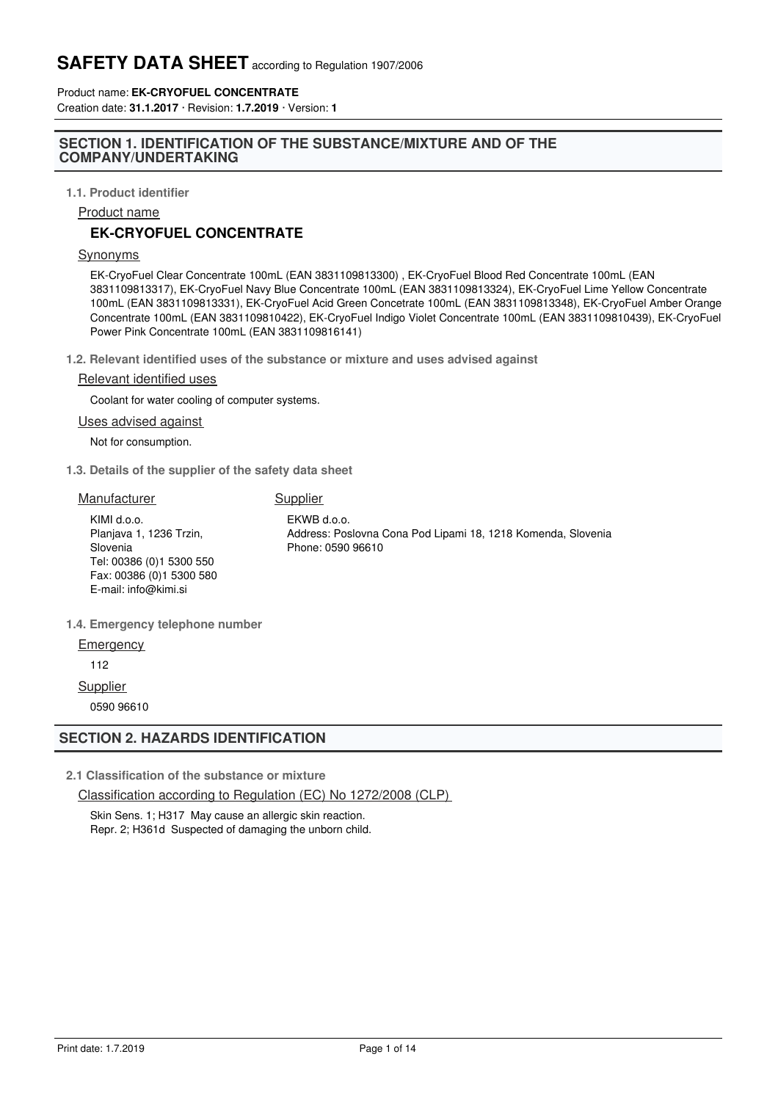Product name: **EK-CRYOFUEL CONCENTRATE** Creation date: **31.1.2017** · Revision: **1.7.2019** · Version: **1**

## **SECTION 1. IDENTIFICATION OF THE SUBSTANCE/MIXTURE AND OF THE COMPANY/UNDERTAKING**

**1.1. Product identifier**

Product name

## **EK-CRYOFUEL CONCENTRATE**

#### Synonyms

EK-CryoFuel Clear Concentrate 100mL (EAN 3831109813300) , EK-CryoFuel Blood Red Concentrate 100mL (EAN 3831109813317), EK-CryoFuel Navy Blue Concentrate 100mL (EAN 3831109813324), EK-CryoFuel Lime Yellow Concentrate 100mL (EAN 3831109813331), EK-CryoFuel Acid Green Concetrate 100mL (EAN 3831109813348), EK-CryoFuel Amber Orange Concentrate 100mL (EAN 3831109810422), EK-CryoFuel Indigo Violet Concentrate 100mL (EAN 3831109810439), EK-CryoFuel Power Pink Concentrate 100mL (EAN 3831109816141)

**1.2. Relevant identified uses of the substance or mixture and uses advised against**

#### Relevant identified uses

Coolant for water cooling of computer systems.

#### Uses advised against

Not for consumption.

**1.3. Details of the supplier of the safety data sheet**

| Manufacturer                                                                                                                        | Supplier                                                                                         |
|-------------------------------------------------------------------------------------------------------------------------------------|--------------------------------------------------------------------------------------------------|
| KIMI d.o.o.<br>Planjava 1, 1236 Trzin,<br>Slovenia<br>Tel: 00386 (0)1 5300 550<br>Fax: 00386 (0) 1 5300 580<br>E-mail: info@kimi.si | EKWB d.o.o.<br>Address: Poslovna Cona Pod Lipami 18, 1218 Komenda, Slovenia<br>Phone: 0590 96610 |
| 1.4. Emergency telephone number                                                                                                     |                                                                                                  |

**Emergency** 

112

**Supplier** 

0590 96610

## **SECTION 2. HAZARDS IDENTIFICATION**

**2.1 Classification of the substance or mixture**

Classification according to Regulation (EC) No 1272/2008 (CLP)

Skin Sens. 1; H317 May cause an allergic skin reaction. Repr. 2; H361d Suspected of damaging the unborn child.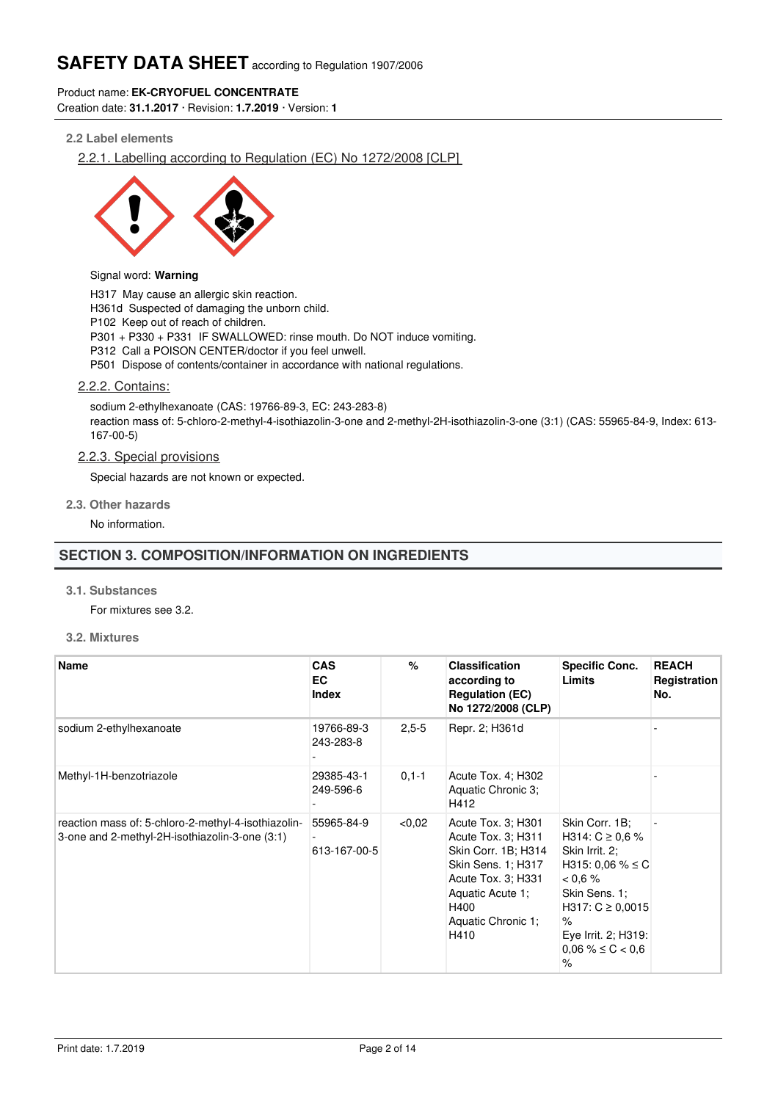## Product name: **EK-CRYOFUEL CONCENTRATE**

Creation date: **31.1.2017** · Revision: **1.7.2019** · Version: **1**

## **2.2 Label elements**

2.2.1. Labelling according to Regulation (EC) No 1272/2008 [CLP]



### Signal word: **Warning**

H317 May cause an allergic skin reaction. H361d Suspected of damaging the unborn child. P102 Keep out of reach of children. P301 + P330 + P331 IF SWALLOWED: rinse mouth. Do NOT induce vomiting. P312 Call a POISON CENTER/doctor if you feel unwell. P501 Dispose of contents/container in accordance with national regulations.

## 2.2.2. Contains:

sodium 2-ethylhexanoate (CAS: 19766-89-3, EC: 243-283-8) reaction mass of: 5-chloro-2-methyl-4-isothiazolin-3-one and 2-methyl-2H-isothiazolin-3-one (3:1) (CAS: 55965-84-9, Index: 613- 167-00-5)

## 2.2.3. Special provisions

Special hazards are not known or expected.

#### **2.3. Other hazards**

No information.

## **SECTION 3. COMPOSITION/INFORMATION ON INGREDIENTS**

#### **3.1. Substances**

For mixtures see 3.2.

**3.2. Mixtures**

| Name                                                                                                  | <b>CAS</b><br>EC<br><b>Index</b> | %          | <b>Classification</b><br>according to<br><b>Regulation (EC)</b><br>No 1272/2008 (CLP)                                                                                 | <b>Specific Conc.</b><br>Limits                                                                                                                                                                       | <b>REACH</b><br>Registration<br>No. |
|-------------------------------------------------------------------------------------------------------|----------------------------------|------------|-----------------------------------------------------------------------------------------------------------------------------------------------------------------------|-------------------------------------------------------------------------------------------------------------------------------------------------------------------------------------------------------|-------------------------------------|
| sodium 2-ethylhexanoate                                                                               | 19766-89-3<br>243-283-8          | $2,5-5$    | Repr. 2; H361d                                                                                                                                                        |                                                                                                                                                                                                       |                                     |
| Methyl-1H-benzotriazole                                                                               | 29385-43-1<br>249-596-6          | $0, 1 - 1$ | Acute Tox. 4; H302<br>Aquatic Chronic 3;<br>H412                                                                                                                      |                                                                                                                                                                                                       |                                     |
| reaction mass of: 5-chloro-2-methyl-4-isothiazolin-<br>3-one and 2-methyl-2H-isothiazolin-3-one (3:1) | 55965-84-9<br>613-167-00-5       | < 0.02     | Acute Tox. 3; H301<br>Acute Tox. 3; H311<br>Skin Corr. 1B; H314<br>Skin Sens. 1; H317<br>Acute Tox. 3; H331<br>Aquatic Acute 1;<br>H400<br>Aquatic Chronic 1;<br>H410 | Skin Corr. 1B:<br>H314: $C \ge 0.6$ %<br>Skin Irrit. 2:<br>H315: 0,06 % $\leq$ C<br>$0.6\%$<br>Skin Sens. 1;<br>$H317: C \geq 0,0015$<br>$\%$<br>Eye Irrit. 2; H319:<br>$0.06\% \leq C < 0.6$<br>$\%$ |                                     |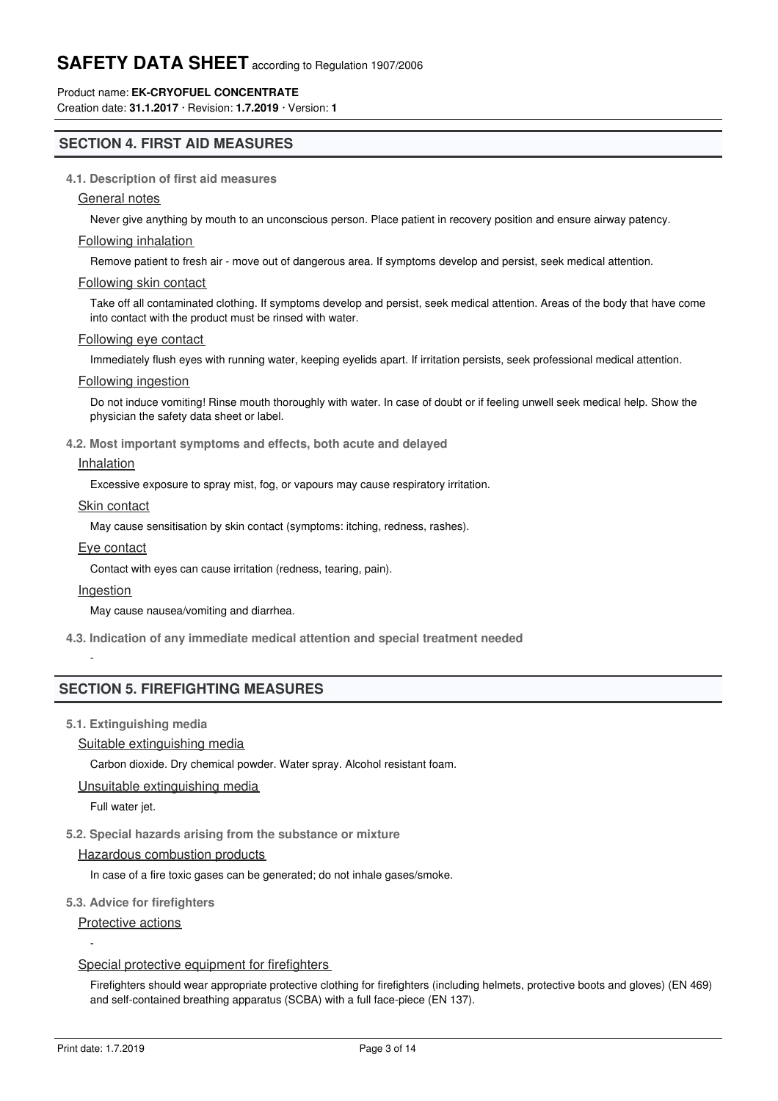## Product name: **EK-CRYOFUEL CONCENTRATE**

Creation date: **31.1.2017** · Revision: **1.7.2019** · Version: **1**

## **SECTION 4. FIRST AID MEASURES**

## **4.1. Description of first aid measures**

## General notes

Never give anything by mouth to an unconscious person. Place patient in recovery position and ensure airway patency.

#### Following inhalation

Remove patient to fresh air - move out of dangerous area. If symptoms develop and persist, seek medical attention.

#### Following skin contact

Take off all contaminated clothing. If symptoms develop and persist, seek medical attention. Areas of the body that have come into contact with the product must be rinsed with water.

#### Following eye contact

Immediately flush eyes with running water, keeping eyelids apart. If irritation persists, seek professional medical attention.

## Following ingestion

Do not induce vomiting! Rinse mouth thoroughly with water. In case of doubt or if feeling unwell seek medical help. Show the physician the safety data sheet or label.

## **4.2. Most important symptoms and effects, both acute and delayed**

## **Inhalation**

Excessive exposure to spray mist, fog, or vapours may cause respiratory irritation.

#### Skin contact

May cause sensitisation by skin contact (symptoms: itching, redness, rashes).

#### Eye contact

Contact with eyes can cause irritation (redness, tearing, pain).

#### Ingestion

-

May cause nausea/vomiting and diarrhea.

**4.3. Indication of any immediate medical attention and special treatment needed**

## **SECTION 5. FIREFIGHTING MEASURES**

**5.1. Extinguishing media**

Suitable extinguishing media

Carbon dioxide. Dry chemical powder. Water spray. Alcohol resistant foam.

Unsuitable extinguishing media

Full water jet.

### **5.2. Special hazards arising from the substance or mixture**

#### Hazardous combustion products

In case of a fire toxic gases can be generated; do not inhale gases/smoke.

#### **5.3. Advice for firefighters**

Protective actions

#### Special protective equipment for firefighters

Firefighters should wear appropriate protective clothing for firefighters (including helmets, protective boots and gloves) (EN 469) and self-contained breathing apparatus (SCBA) with a full face-piece (EN 137).

-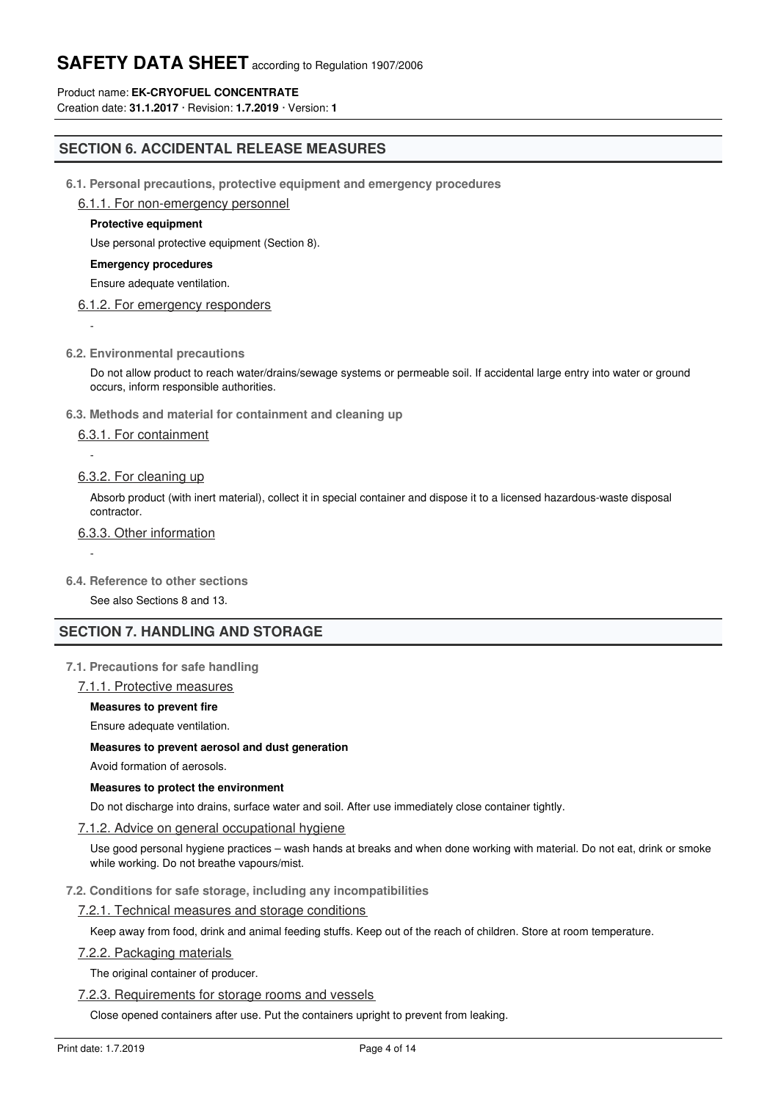## Product name: **EK-CRYOFUEL CONCENTRATE**

Creation date: **31.1.2017** · Revision: **1.7.2019** · Version: **1**

## **SECTION 6. ACCIDENTAL RELEASE MEASURES**

**6.1. Personal precautions, protective equipment and emergency procedures**

## 6.1.1. For non-emergency personnel

## **Protective equipment**

Use personal protective equipment (Section 8).

#### **Emergency procedures**

Ensure adequate ventilation.

## 6.1.2. For emergency responders

-

-

-

## **6.2. Environmental precautions**

Do not allow product to reach water/drains/sewage systems or permeable soil. If accidental large entry into water or ground occurs, inform responsible authorities.

#### **6.3. Methods and material for containment and cleaning up**

## 6.3.1. For containment

## 6.3.2. For cleaning up

Absorb product (with inert material), collect it in special container and dispose it to a licensed hazardous-waste disposal contractor.

## 6.3.3. Other information

#### **6.4. Reference to other sections**

See also Sections 8 and 13.

## **SECTION 7. HANDLING AND STORAGE**

## **7.1. Precautions for safe handling**

#### 7.1.1. Protective measures

## **Measures to prevent fire**

Ensure adequate ventilation.

#### **Measures to prevent aerosol and dust generation**

Avoid formation of aerosols.

#### **Measures to protect the environment**

Do not discharge into drains, surface water and soil. After use immediately close container tightly.

## 7.1.2. Advice on general occupational hygiene

Use good personal hygiene practices – wash hands at breaks and when done working with material. Do not eat, drink or smoke while working. Do not breathe vapours/mist.

#### **7.2. Conditions for safe storage, including any incompatibilities**

## 7.2.1. Technical measures and storage conditions

Keep away from food, drink and animal feeding stuffs. Keep out of the reach of children. Store at room temperature.

#### 7.2.2. Packaging materials

7.2.4. Storage class of the storage class of the storage class of the storage class

The original container of producer.

#### 7.2.3. Requirements for storage rooms and vessels

Close opened containers after use. Put the containers upright to prevent from leaking.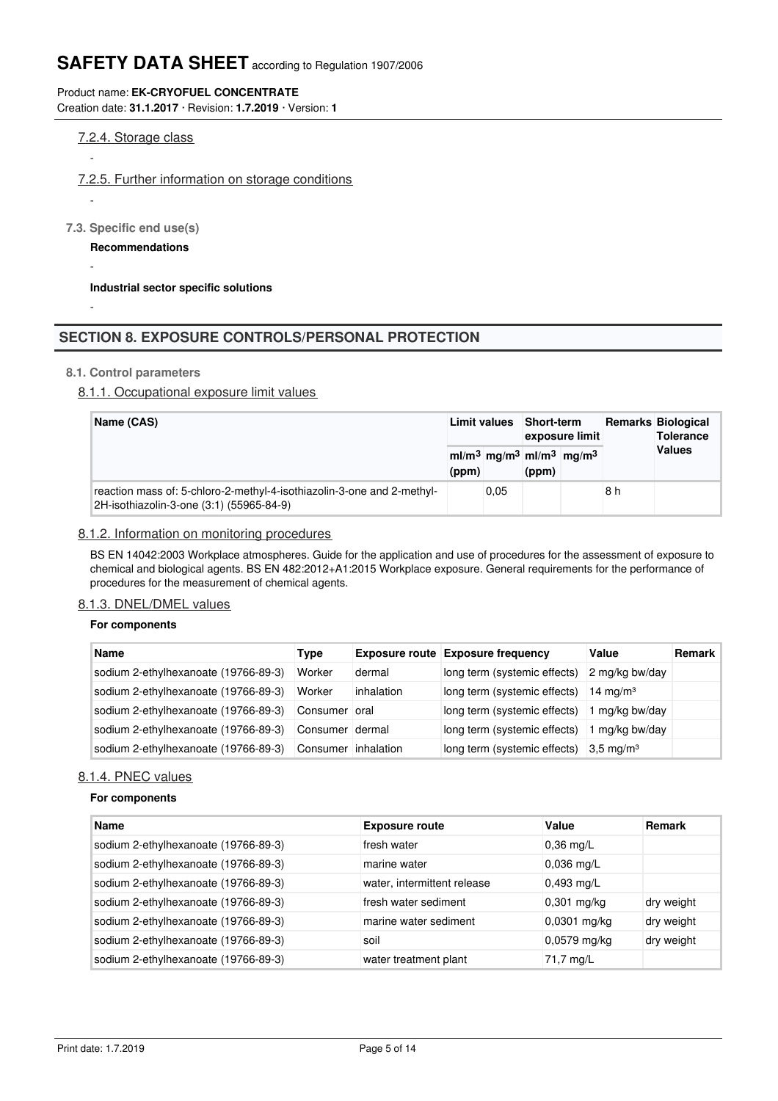## Product name: **EK-CRYOFUEL CONCENTRATE**

Creation date: **31.1.2017** · Revision: **1.7.2019** · Version: **1**

## 7.2.4. Storage class

-

-

-

-

## 7.2.5. Further information on storage conditions

**7.3. Specific end use(s)**

**Recommendations**

**Industrial sector specific solutions**

## **SECTION 8. EXPOSURE CONTROLS/PERSONAL PROTECTION**

## **8.1. Control parameters**

## 8.1.1. Occupational exposure limit values

|  | Name (CAS)                                                                                                         |       | Limit values | <b>Short-term</b> | exposure limit                                                          |     | <b>Remarks Biological</b><br><b>Tolerance</b> |
|--|--------------------------------------------------------------------------------------------------------------------|-------|--------------|-------------------|-------------------------------------------------------------------------|-----|-----------------------------------------------|
|  |                                                                                                                    | (ppm) |              | (ppm)             | ml/m <sup>3</sup> mg/m <sup>3</sup> ml/m <sup>3</sup> mg/m <sup>3</sup> |     | <b>Values</b>                                 |
|  | reaction mass of: 5-chloro-2-methyl-4-isothiazolin-3-one and 2-methyl-<br>2H-isothiazolin-3-one (3:1) (55965-84-9) |       | 0.05         |                   |                                                                         | 8 h |                                               |

## 8.1.2. Information on monitoring procedures

BS EN 14042:2003 Workplace atmospheres. Guide for the application and use of procedures for the assessment of exposure to chemical and biological agents. BS EN 482:2012+A1:2015 Workplace exposure. General requirements for the performance of procedures for the measurement of chemical agents.

## 8.1.3. DNEL/DMEL values

## **For components**

| <b>Name</b>                          | Type                |            | <b>Exposure route Exposure frequency</b> | Value                | Remark |
|--------------------------------------|---------------------|------------|------------------------------------------|----------------------|--------|
| sodium 2-ethylhexanoate (19766-89-3) | Worker              | dermal     | long term (systemic effects)             | 2 mg/kg bw/day       |        |
| sodium 2-ethylhexanoate (19766-89-3) | Worker              | inhalation | long term (systemic effects)             | 14 mg/m <sup>3</sup> |        |
| sodium 2-ethylhexanoate (19766-89-3) | Consumer oral       |            | long term (systemic effects)             | 1 mg/kg bw/day       |        |
| sodium 2-ethylhexanoate (19766-89-3) | Consumer dermal     |            | long term (systemic effects)             | I mg/kg bw/day       |        |
| sodium 2-ethylhexanoate (19766-89-3) | Consumer inhalation |            | long term (systemic effects)             | $3.5 \text{ mg/m}^3$ |        |

#### 8.1.4. PNEC values

#### **For components**

| <b>Name</b>                          | <b>Exposure route</b>       | Value          | <b>Remark</b> |
|--------------------------------------|-----------------------------|----------------|---------------|
| sodium 2-ethylhexanoate (19766-89-3) | fresh water                 | $0,36$ mg/L    |               |
| sodium 2-ethylhexanoate (19766-89-3) | marine water                | $0.036$ mg/L   |               |
| sodium 2-ethylhexanoate (19766-89-3) | water, intermittent release | $0,493$ mg/L   |               |
| sodium 2-ethylhexanoate (19766-89-3) | fresh water sediment        | $0,301$ mg/kg  | dry weight    |
| sodium 2-ethylhexanoate (19766-89-3) | marine water sediment       | 0,0301 mg/kg   | dry weight    |
| sodium 2-ethylhexanoate (19766-89-3) | soil                        | $0,0579$ mg/kg | dry weight    |
| sodium 2-ethylhexanoate (19766-89-3) | water treatment plant       | 71,7 mg/L      |               |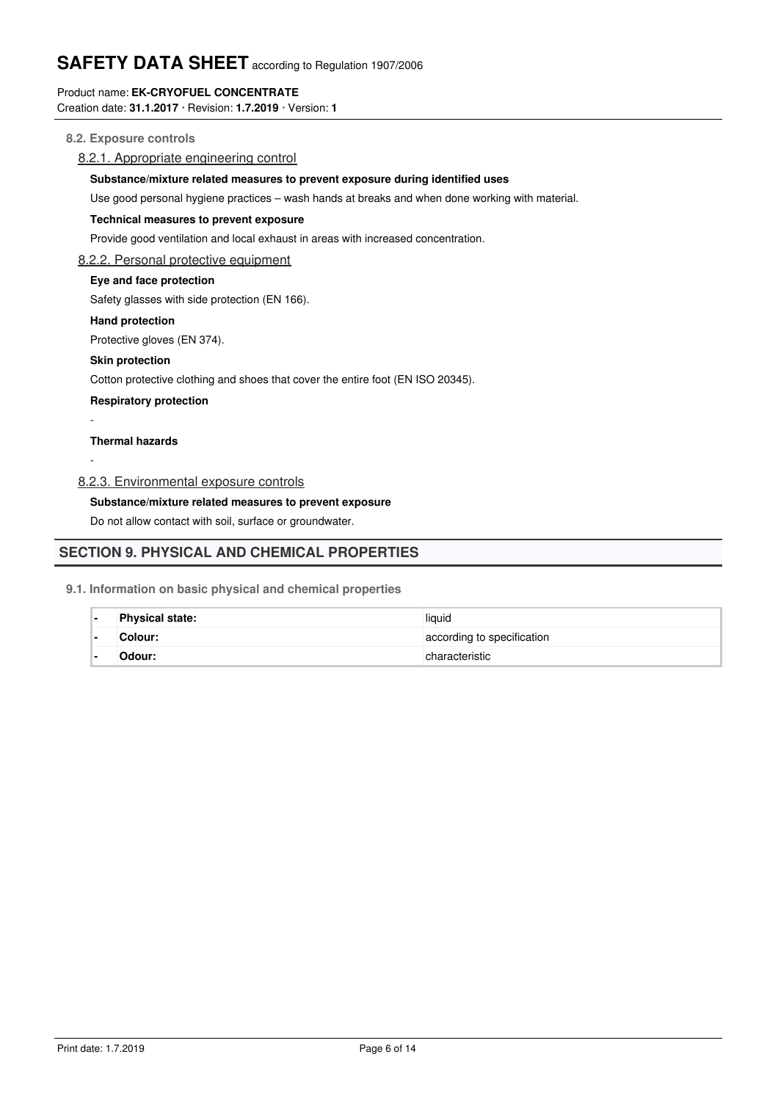## Product name: **EK-CRYOFUEL CONCENTRATE**

Creation date: **31.1.2017** · Revision: **1.7.2019** · Version: **1**

## **8.2. Exposure controls**

## 8.2.1. Appropriate engineering control

## **Substance/mixture related measures to prevent exposure during identified uses**

Use good personal hygiene practices – wash hands at breaks and when done working with material.

#### **Technical measures to prevent exposure**

Provide good ventilation and local exhaust in areas with increased concentration.

#### 8.2.2. Personal protective equipment

## **Eye and face protection**

Safety glasses with side protection (EN 166).

#### **Hand protection**

Protective gloves (EN 374).

#### **Skin protection**

Cotton protective clothing and shoes that cover the entire foot (EN ISO 20345).

**Respiratory protection**

### **Thermal hazards**

-

-

8.2.3. Environmental exposure controls

## **Substance/mixture related measures to prevent exposure**

Do not allow contact with soil, surface or groundwater.

## **SECTION 9. PHYSICAL AND CHEMICAL PROPERTIES**

#### **9.1. Information on basic physical and chemical properties**

Important health, safety and environmental information

| <b>Physical state:</b> | liquid                     |
|------------------------|----------------------------|
| Colour:                | according to specification |
| Odour:                 | characteristic             |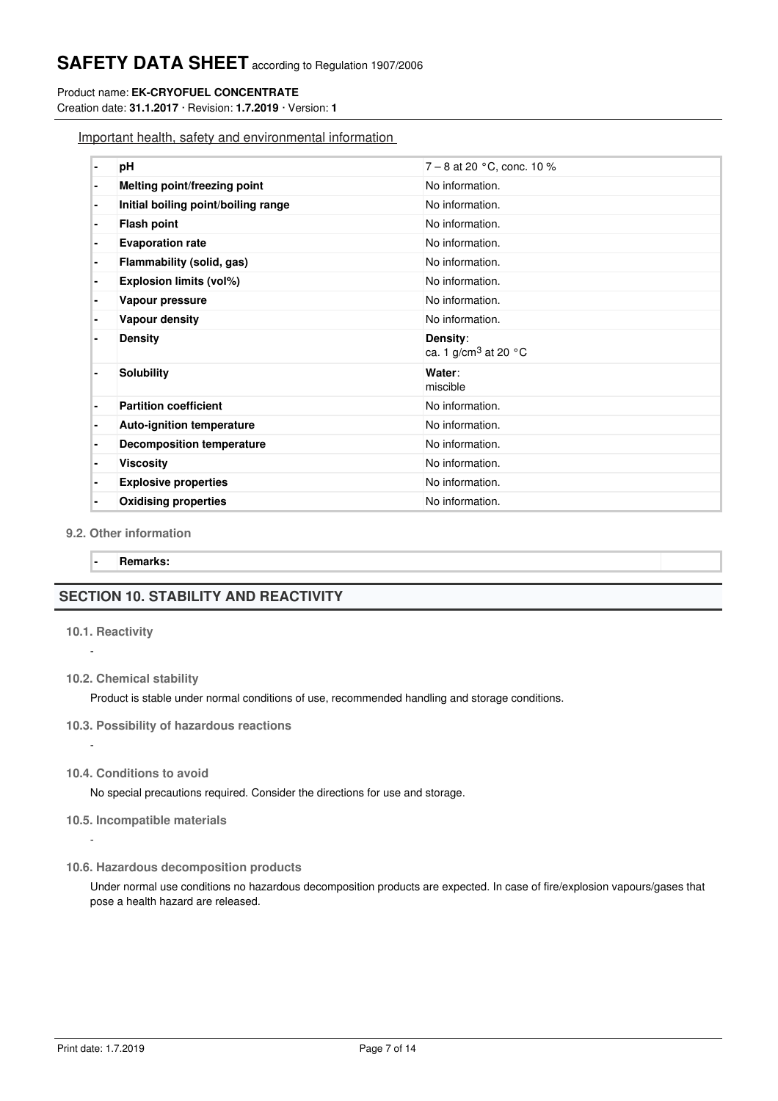#### Product name: **EK-CRYOFUEL CONCENTRATE**

Creation date: **31.1.2017** · Revision: **1.7.2019** · Version: **1**

Important health, safety and environmental information

## **9.2. Other information**

**- Remarks:**

## **SECTION 10. STABILITY AND REACTIVITY**

## **10.1. Reactivity**

-

-

-

**10.2. Chemical stability**

Product is stable under normal conditions of use, recommended handling and storage conditions.

- **10.3. Possibility of hazardous reactions**
- **10.4. Conditions to avoid**

No special precautions required. Consider the directions for use and storage.

- **10.5. Incompatible materials**
- **10.6. Hazardous decomposition products**

Under normal use conditions no hazardous decomposition products are expected. In case of fire/explosion vapours/gases that pose a health hazard are released.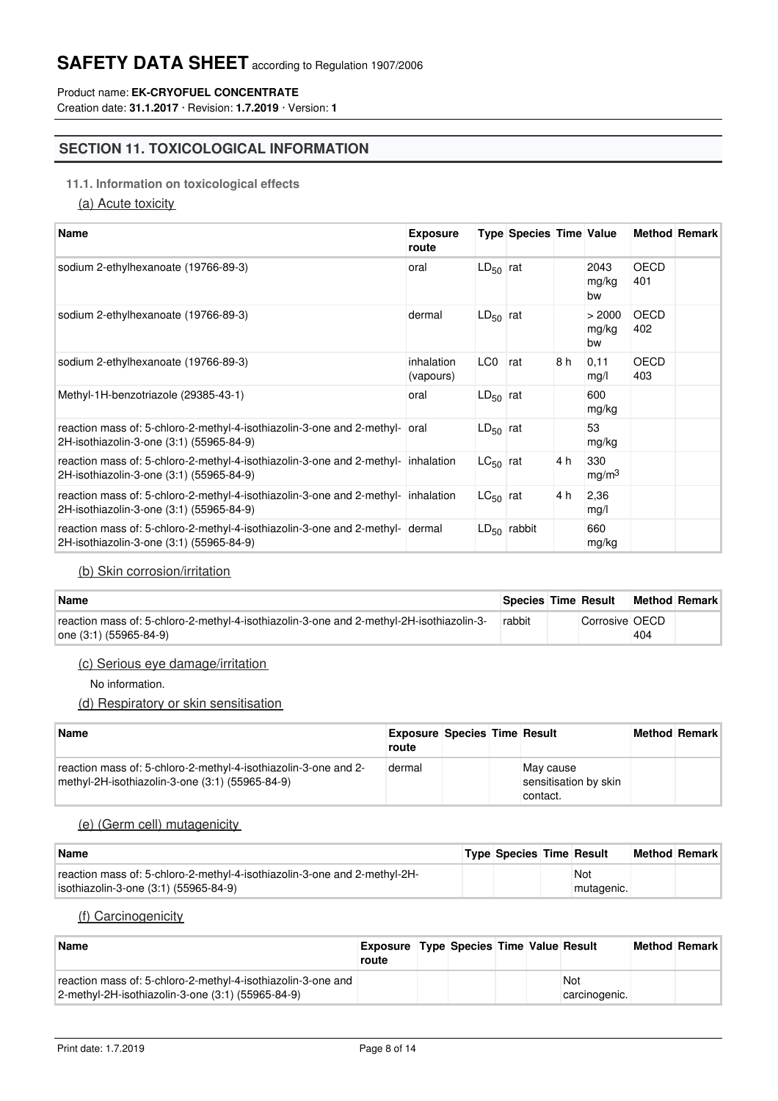## Product name: **EK-CRYOFUEL CONCENTRATE**

Creation date: **31.1.2017** · Revision: **1.7.2019** · Version: **1**

## **SECTION 11. TOXICOLOGICAL INFORMATION**

## **11.1. Information on toxicological effects**

(a) Acute toxicity

| <b>Name</b>                                                                                                                   | <b>Exposure</b><br>route |               | <b>Type Species Time Value</b> |     |                          |                    | <b>Method Remark</b> |
|-------------------------------------------------------------------------------------------------------------------------------|--------------------------|---------------|--------------------------------|-----|--------------------------|--------------------|----------------------|
| sodium 2-ethylhexanoate (19766-89-3)                                                                                          | oral                     | $LD_{50}$ rat |                                |     | 2043<br>mg/kg<br>bw      | <b>OECD</b><br>401 |                      |
| sodium 2-ethylhexanoate (19766-89-3)                                                                                          | dermal                   | $LD_{50}$ rat |                                |     | > 2000<br>mg/kg<br>bw    | <b>OECD</b><br>402 |                      |
| sodium 2-ethylhexanoate (19766-89-3)                                                                                          | inhalation<br>(vapours)  | LC0           | rat                            | 8 h | 0,11<br>mg/l             | <b>OECD</b><br>403 |                      |
| Methyl-1H-benzotriazole (29385-43-1)                                                                                          | oral                     | $LD_{50}$ rat |                                |     | 600<br>mg/kg             |                    |                      |
| reaction mass of: 5-chloro-2-methyl-4-isothiazolin-3-one and 2-methyl- oral<br>2H-isothiazolin-3-one (3:1) (55965-84-9)       |                          | $LD_{50}$ rat |                                |     | 53<br>mg/kg              |                    |                      |
| reaction mass of: 5-chloro-2-methyl-4-isothiazolin-3-one and 2-methyl- inhalation<br>2H-isothiazolin-3-one (3:1) (55965-84-9) |                          | $LC_{50}$ rat |                                | 4 h | 330<br>mg/m <sup>3</sup> |                    |                      |
| reaction mass of: 5-chloro-2-methyl-4-isothiazolin-3-one and 2-methyl- inhalation<br>2H-isothiazolin-3-one (3:1) (55965-84-9) |                          | $LC_{50}$ rat |                                | 4 h | 2,36<br>mg/l             |                    |                      |
| reaction mass of: 5-chloro-2-methyl-4-isothiazolin-3-one and 2-methyl- dermal<br>2H-isothiazolin-3-one (3:1) (55965-84-9)     |                          |               | $LD_{50}$ rabbit               |     | 660<br>mg/kg             |                    |                      |

## (b) Skin corrosion/irritation

| <b>Name</b>                                                                                                        | <b>Species Time Result</b> |                |     | <b>Method Remark</b> |
|--------------------------------------------------------------------------------------------------------------------|----------------------------|----------------|-----|----------------------|
| reaction mass of: 5-chloro-2-methyl-4-isothiazolin-3-one and 2-methyl-2H-isothiazolin-3-<br>one (3:1) (55965-84-9) | rabbit                     | Corrosive OECD | 404 |                      |

## (c) Serious eye damage/irritation

No information.

## (d) Respiratory or skin sensitisation

| Name                                                                                                               | <b>Exposure Species Time Result</b><br>route |  |                                                | <b>Method Remark</b> |
|--------------------------------------------------------------------------------------------------------------------|----------------------------------------------|--|------------------------------------------------|----------------------|
| reaction mass of: 5-chloro-2-methyl-4-isothiazolin-3-one and 2-<br>methyl-2H-isothiazolin-3-one (3:1) (55965-84-9) | dermal                                       |  | May cause<br>sensitisation by skin<br>contact. |                      |

## (e) (Germ cell) mutagenicity

| <b>Name</b>                                                               | <b>Type Species Time Result</b> |            | <b>Method Remark</b> |  |
|---------------------------------------------------------------------------|---------------------------------|------------|----------------------|--|
| reaction mass of: 5-chloro-2-methyl-4-isothiazolin-3-one and 2-methyl-2H- |                                 | Not        |                      |  |
| isothiazolin-3-one (3:1) (55965-84-9)                                     |                                 | mutagenic. |                      |  |

## (f) Carcinogenicity

(g) Reproductive toxication to the production of the production of the production of the production of the pro

| <b>Name</b>                                                                                                       | <b>Exposure Type Species Time Value Result</b><br>route |  |  |                      | <b>Method Remark</b> |
|-------------------------------------------------------------------------------------------------------------------|---------------------------------------------------------|--|--|----------------------|----------------------|
| reaction mass of: 5-chloro-2-methyl-4-isothiazolin-3-one and<br>2-methyl-2H-isothiazolin-3-one (3:1) (55965-84-9) |                                                         |  |  | Not<br>carcinogenic. |                      |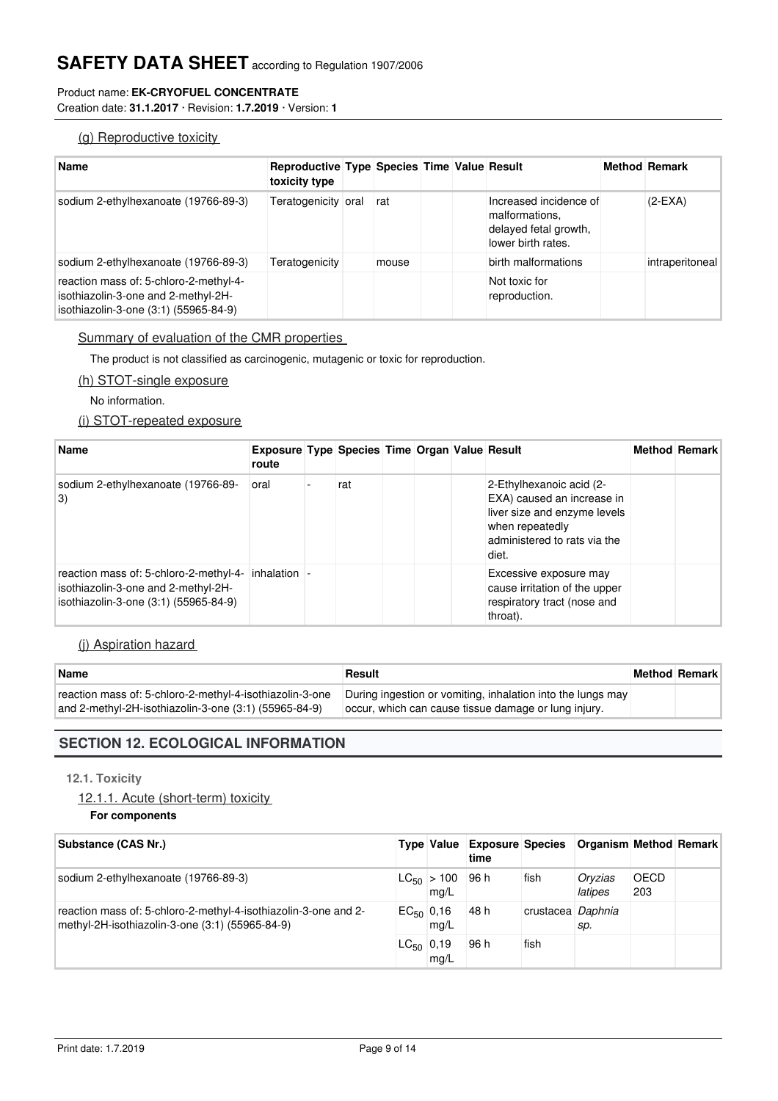## Product name: **EK-CRYOFUEL CONCENTRATE**

Creation date: **31.1.2017** · Revision: **1.7.2019** · Version: **1**

## (g) Reproductive toxicity

| <b>Name</b>                                                                                                            | <b>Reproductive Type Species Time Value Result</b><br>toxicity type |       |  |                                                                                         | <b>Method Remark</b> |
|------------------------------------------------------------------------------------------------------------------------|---------------------------------------------------------------------|-------|--|-----------------------------------------------------------------------------------------|----------------------|
| sodium 2-ethylhexanoate (19766-89-3)                                                                                   | Teratogenicity oral                                                 | rat   |  | Increased incidence of<br>malformations.<br>delayed fetal growth,<br>lower birth rates. | $(2-EXA)$            |
| sodium 2-ethylhexanoate (19766-89-3)                                                                                   | Teratogenicity                                                      | mouse |  | birth malformations                                                                     | intraperitoneal      |
| reaction mass of: 5-chloro-2-methyl-4-<br>isothiazolin-3-one and 2-methyl-2H-<br>isothiazolin-3-one (3:1) (55965-84-9) |                                                                     |       |  | Not toxic for<br>reproduction.                                                          |                      |

## Summary of evaluation of the CMR properties

The product is not classified as carcinogenic, mutagenic or toxic for reproduction.

## (h) STOT-single exposure

No information.

## (i) STOT-repeated exposure

| <b>Name</b>                                                                                                                                 | <b>Exposure Type Species Time Organ Value Result</b><br>route |     |  |                                                                                                                                                    | <b>Method Remark</b> |
|---------------------------------------------------------------------------------------------------------------------------------------------|---------------------------------------------------------------|-----|--|----------------------------------------------------------------------------------------------------------------------------------------------------|----------------------|
| sodium 2-ethylhexanoate (19766-89-<br>$\vert 3\rangle$                                                                                      | oral                                                          | rat |  | 2-Ethylhexanoic acid (2-<br>EXA) caused an increase in<br>liver size and enzyme levels<br>when repeatedly<br>administered to rats via the<br>diet. |                      |
| reaction mass of: 5-chloro-2-methyl-4- inhalation $\vert$ -<br>isothiazolin-3-one and 2-methyl-2H-<br>isothiazolin-3-one (3:1) (55965-84-9) |                                                               |     |  | Excessive exposure may<br>cause irritation of the upper<br>respiratory tract (nose and<br>throat).                                                 |                      |

## (j) Aspiration hazard

| Name                                                      | Result                                                      | <b>Method Remark</b> |
|-----------------------------------------------------------|-------------------------------------------------------------|----------------------|
| reaction mass of: 5-chloro-2-methyl-4-isothiazolin-3-one  | During ingestion or vomiting, inhalation into the lungs may |                      |
| and 2-methyl-2H-isothiazolin-3-one $(3:1)$ $(55965-84-9)$ | loccur, which can cause tissue damage or lung injury.       |                      |

## **SECTION 12. ECOLOGICAL INFORMATION**

## **12.1. Toxicity**

12.1.1. Acute (short-term) toxicity

12.1. Chronic (long-term) toxic toxic toxic toxic toxic toxic toxic toxic

```
For components
```

| Substance (CAS Nr.)                                                                                                |                |                                | Type Value Exposure Species Organism Method Remark<br>time |                   |                    |                    |  |
|--------------------------------------------------------------------------------------------------------------------|----------------|--------------------------------|------------------------------------------------------------|-------------------|--------------------|--------------------|--|
| sodium 2-ethylhexanoate (19766-89-3)                                                                               |                | $ LG_{50}  > 100$ 96 h<br>mg/L |                                                            | fish              | Oryzias<br>latipes | <b>OECD</b><br>203 |  |
| reaction mass of: 5-chloro-2-methyl-4-isothiazolin-3-one and 2-<br>methyl-2H-isothiazolin-3-one (3:1) (55965-84-9) | $EC_{50}$ 0,16 | mg/L                           | 48 h                                                       | crustacea Daphnia | sp.                |                    |  |
|                                                                                                                    | $LC_{50}$ 0,19 | mq/L                           | 96 h                                                       | fish              |                    |                    |  |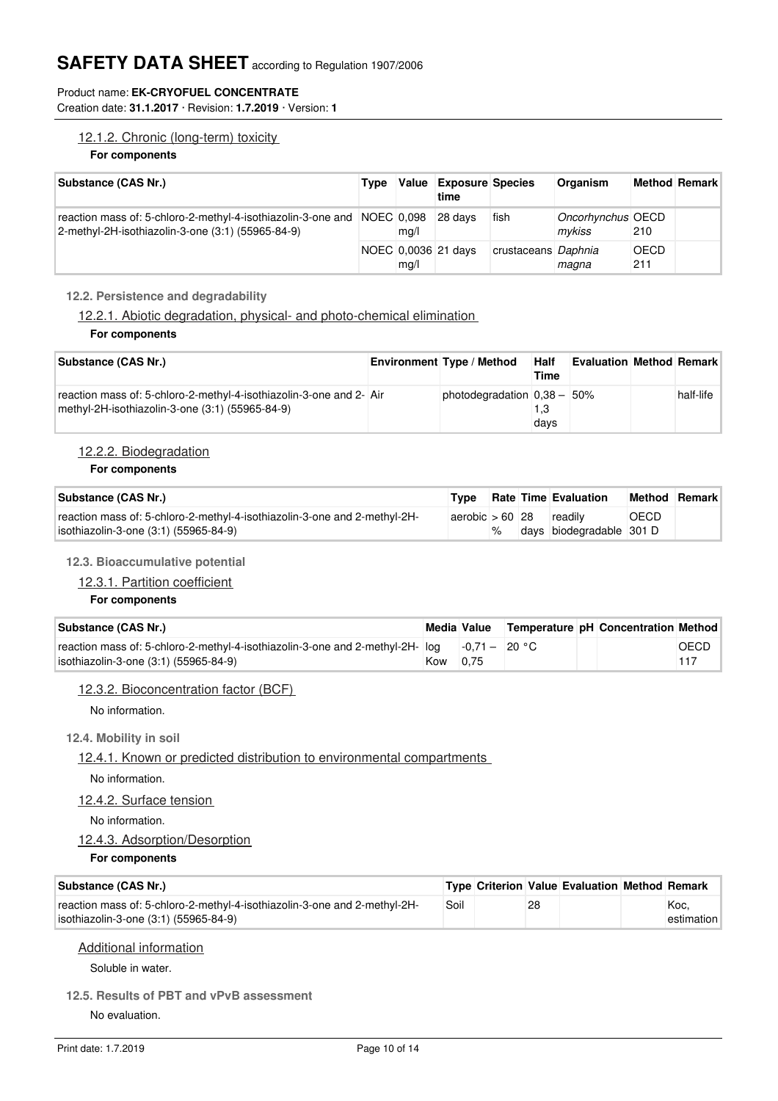## Product name: **EK-CRYOFUEL CONCENTRATE**

Creation date: **31.1.2017** · Revision: **1.7.2019** · Version: **1**

## 12.1.2. Chronic (long-term) toxicity

## **For components**

| Substance (CAS Nr.)                                                                                                          | Type | Value | <b>Exposure Species</b><br>time |                     | Organism                    |                    | <b>Method Remark</b> |
|------------------------------------------------------------------------------------------------------------------------------|------|-------|---------------------------------|---------------------|-----------------------------|--------------------|----------------------|
| reaction mass of: 5-chloro-2-methyl-4-isothiazolin-3-one and NOEC 0,098<br>2-methyl-2H-isothiazolin-3-one (3:1) (55965-84-9) |      | mq/l  | 28 days                         | fish                | Oncorhynchus OECD<br>mykiss | 210                |                      |
|                                                                                                                              |      | mq/l  | NOEC 0,0036 21 days             | crustaceans Daphnia | magna                       | <b>OECD</b><br>211 |                      |

## **12.2. Persistence and degradability**

12.2.1. Abiotic degradation, physical- and photo-chemical elimination

#### **For components**

| Substance (CAS Nr.)                                                                                                    | <b>Environment Type / Method</b> | <b>Half</b><br>Time | <b>Evaluation Method Remark</b> |           |
|------------------------------------------------------------------------------------------------------------------------|----------------------------------|---------------------|---------------------------------|-----------|
| reaction mass of: 5-chloro-2-methyl-4-isothiazolin-3-one and 2- Air<br>methyl-2H-isothiazolin-3-one (3:1) (55965-84-9) | photodegradation $0.38 - 50\%$   | 1.3<br>days         |                                 | half-life |

## 12.2.2. Biodegradation

#### **For components**

| Substance (CAS Nr.)                                                                                                | Tvpe                            |   | <b>Rate Time Evaluation</b> | <b>Method Remark</b> |  |
|--------------------------------------------------------------------------------------------------------------------|---------------------------------|---|-----------------------------|----------------------|--|
| reaction mass of: 5-chloro-2-methyl-4-isothiazolin-3-one and 2-methyl-2H-<br>isothiazolin-3-one (3:1) (55965-84-9) | $ aerobic  > 60$ 28 $ readily $ | % | days biodegradable 301 D    | <b>OECD</b>          |  |

## **12.3. Bioaccumulative potential**

## 12.3.1. Partition coefficient

## **For components**

| Substance (CAS Nr.)                                                                           | Media Value | Temperature pH Concentration Method |      |
|-----------------------------------------------------------------------------------------------|-------------|-------------------------------------|------|
| reaction mass of: 5-chloro-2-methyl-4-isothiazolin-3-one and 2-methyl-2H- $log$ -0,71 - 20 °C |             |                                     | OECD |
| isothiazolin-3-one (3:1) (55965-84-9)                                                         | Kow 0.75    |                                     |      |

## 12.3.2. Bioconcentration factor (BCF)

No information.

## **12.4. Mobility in soil**

## 12.4.1. Known or predicted distribution to environmental compartments

No information.

## 12.4.2. Surface tension

No information.

## 12.4.3. Adsorption/Desorption

**For components**

| Substance (CAS Nr.)                                                                                                |      |    | Type Criterion Value Evaluation Method Remark |                    |
|--------------------------------------------------------------------------------------------------------------------|------|----|-----------------------------------------------|--------------------|
| reaction mass of: 5-chloro-2-methyl-4-isothiazolin-3-one and 2-methyl-2H-<br>isothiazolin-3-one (3:1) (55965-84-9) | Soil | 28 |                                               | Koc.<br>estimation |

## Additional information

Soluble in water.

## **12.5. Results of PBT and vPvB assessment**

No evaluation.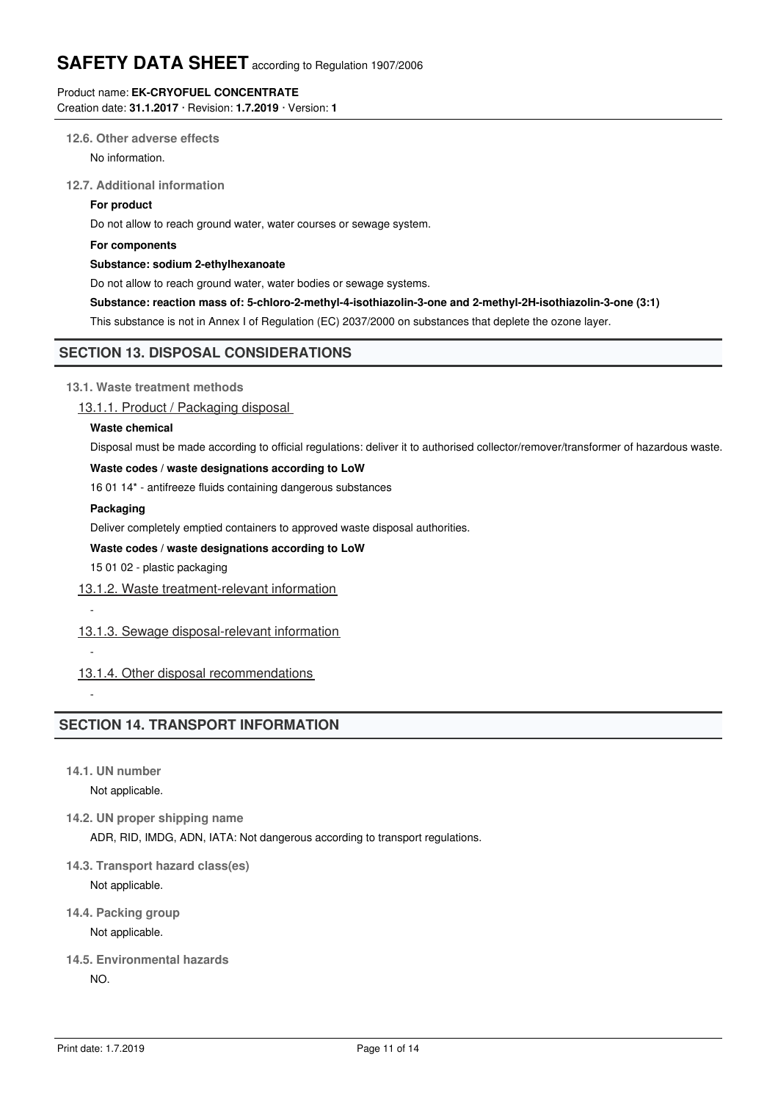## Product name: **EK-CRYOFUEL CONCENTRATE**

Creation date: **31.1.2017** · Revision: **1.7.2019** · Version: **1**

## **12.6. Other adverse effects**

No information.

## **12.7. Additional information**

#### **For product**

Do not allow to reach ground water, water courses or sewage system.

## **For components**

## **Substance: sodium 2-ethylhexanoate**

Do not allow to reach ground water, water bodies or sewage systems.

**Substance: reaction mass of: 5-chloro-2-methyl-4-isothiazolin-3-one and 2-methyl-2H-isothiazolin-3-one (3:1)**

This substance is not in Annex I of Regulation (EC) 2037/2000 on substances that deplete the ozone layer.

## **SECTION 13. DISPOSAL CONSIDERATIONS**

## **13.1. Waste treatment methods**

13.1.1. Product / Packaging disposal

## **Waste chemical**

Disposal must be made according to official regulations: deliver it to authorised collector/remover/transformer of hazardous waste.

## **Waste codes / waste designations according to LoW**

16 01 14\* - antifreeze fluids containing dangerous substances

## **Packaging**

-

-

-

Deliver completely emptied containers to approved waste disposal authorities.

## **Waste codes / waste designations according to LoW**

15 01 02 - plastic packaging

13.1.2. Waste treatment-relevant information

## 13.1.3. Sewage disposal-relevant information

## 13.1.4. Other disposal recommendations

## **SECTION 14. TRANSPORT INFORMATION**

**14.1. UN number**

Not applicable.

- **14.2. UN proper shipping name** ADR, RID, IMDG, ADN, IATA: Not dangerous according to transport regulations.
- **14.3. Transport hazard class(es)**

Not applicable.

**14.4. Packing group**

Not applicable.

**14.5. Environmental hazards** NO.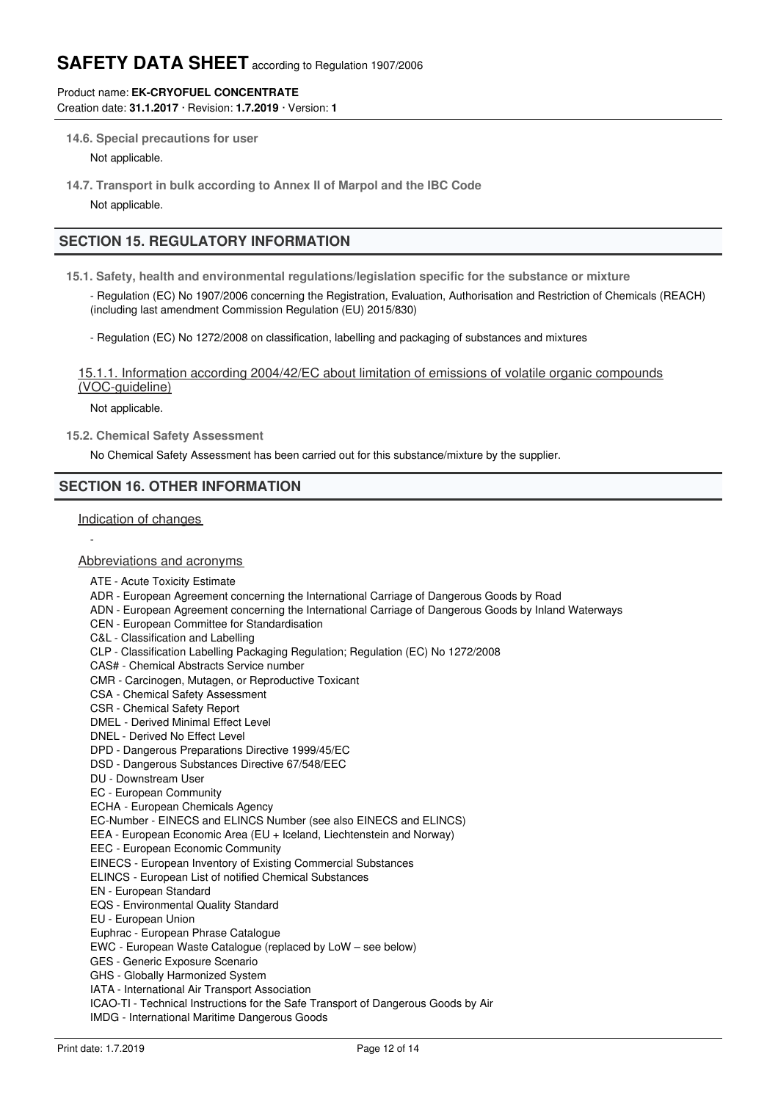## Product name: **EK-CRYOFUEL CONCENTRATE**

Creation date: **31.1.2017** · Revision: **1.7.2019** · Version: **1**

**14.6. Special precautions for user**

Not applicable.

**14.7. Transport in bulk according to Annex II of Marpol and the IBC Code** Not applicable.

## **SECTION 15. REGULATORY INFORMATION**

**15.1. Safety, health and environmental regulations/legislation specific for the substance or mixture**

- Regulation (EC) No 1907/2006 concerning the Registration, Evaluation, Authorisation and Restriction of Chemicals (REACH) (including last amendment Commission Regulation (EU) 2015/830)

- Regulation (EC) No 1272/2008 on classification, labelling and packaging of substances and mixtures

15.1.1. Information according 2004/42/EC about limitation of emissions of volatile organic compounds (VOC-guideline)

Not applicable.

**15.2. Chemical Safety Assessment**

No Chemical Safety Assessment has been carried out for this substance/mixture by the supplier.

## **SECTION 16. OTHER INFORMATION**

Indication of changes

-

#### Abbreviations and acronyms

- ATE Acute Toxicity Estimate
- ADR European Agreement concerning the International Carriage of Dangerous Goods by Road
- ADN European Agreement concerning the International Carriage of Dangerous Goods by Inland Waterways
- CEN European Committee for Standardisation
- C&L Classification and Labelling
- CLP Classification Labelling Packaging Regulation; Regulation (EC) No 1272/2008
- CAS# Chemical Abstracts Service number
- CMR Carcinogen, Mutagen, or Reproductive Toxicant
- CSA Chemical Safety Assessment
- CSR Chemical Safety Report
- DMEL Derived Minimal Effect Level
- DNEL Derived No Effect Level
- DPD Dangerous Preparations Directive 1999/45/EC
- DSD Dangerous Substances Directive 67/548/EEC
- DU Downstream User
- EC European Community
- ECHA European Chemicals Agency

EC-Number - EINECS and ELINCS Number (see also EINECS and ELINCS)

- EEA European Economic Area (EU + Iceland, Liechtenstein and Norway)
- EEC European Economic Community

EINECS - European Inventory of Existing Commercial Substances

- ELINCS European List of notified Chemical Substances
- EN European Standard
- EQS Environmental Quality Standard
- EU European Union

Euphrac - European Phrase Catalogue

- EWC European Waste Catalogue (replaced by LoW see below)
- GES Generic Exposure Scenario
- GHS Globally Harmonized System
- IATA International Air Transport Association

ICAO-TI - Technical Instructions for the Safe Transport of Dangerous Goods by Air

IMDG - International Maritime Dangerous Goods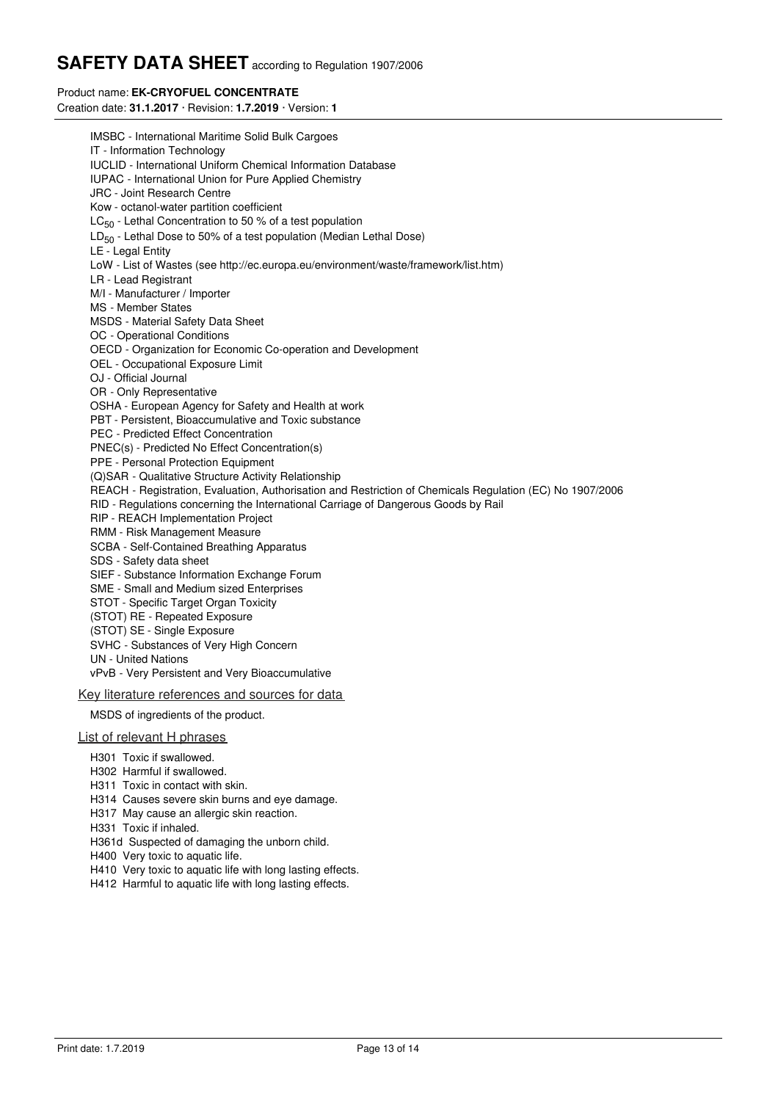## Product name: **EK-CRYOFUEL CONCENTRATE**

Creation date: **31.1.2017** · Revision: **1.7.2019** · Version: **1**

IMSBC - International Maritime Solid Bulk Cargoes IT - Information Technology IUCLID - International Uniform Chemical Information Database IUPAC - International Union for Pure Applied Chemistry JRC - Joint Research Centre Kow - octanol-water partition coefficient LC<sub>50</sub> - Lethal Concentration to 50 % of a test population  $\mathsf{LD}_{50}$  - Lethal Dose to 50% of a test population (Median Lethal Dose) LE - Legal Entity LoW - List of Wastes (see http://ec.europa.eu/environment/waste/framework/list.htm) LR - Lead Registrant M/I - Manufacturer / Importer MS - Member States MSDS - Material Safety Data Sheet OC - Operational Conditions OECD - Organization for Economic Co-operation and Development OEL - Occupational Exposure Limit OJ - Official Journal OR - Only Representative OSHA - European Agency for Safety and Health at work PBT - Persistent, Bioaccumulative and Toxic substance PEC - Predicted Effect Concentration PNEC(s) - Predicted No Effect Concentration(s) PPE - Personal Protection Equipment (Q)SAR - Qualitative Structure Activity Relationship REACH - Registration, Evaluation, Authorisation and Restriction of Chemicals Regulation (EC) No 1907/2006 RID - Regulations concerning the International Carriage of Dangerous Goods by Rail RIP - REACH Implementation Project RMM - Risk Management Measure SCBA - Self-Contained Breathing Apparatus SDS - Safety data sheet SIEF - Substance Information Exchange Forum SME - Small and Medium sized Enterprises STOT - Specific Target Organ Toxicity (STOT) RE - Repeated Exposure (STOT) SE - Single Exposure SVHC - Substances of Very High Concern UN - United Nations vPvB - Very Persistent and Very Bioaccumulative

## Key literature references and sources for data

MSDS of ingredients of the product.

#### List of relevant H phrases

- H301 Toxic if swallowed.
- H302 Harmful if swallowed.
- H311 Toxic in contact with skin.
- H314 Causes severe skin burns and eye damage.
- H317 May cause an allergic skin reaction.
- H331 Toxic if inhaled.
- H361d Suspected of damaging the unborn child.
- H400 Very toxic to aquatic life.
- H410 Very toxic to aquatic life with long lasting effects.
- H412 Harmful to aquatic life with long lasting effects.